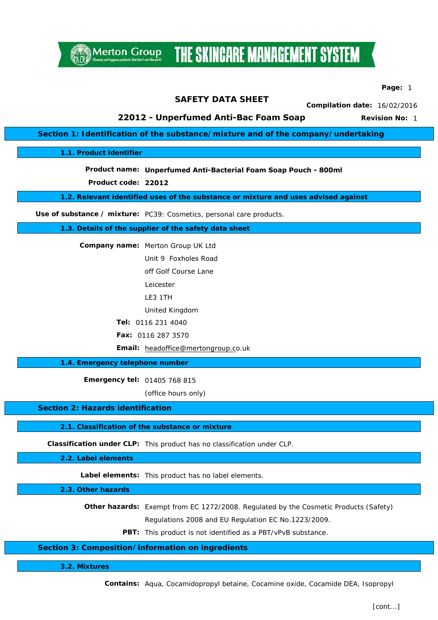THE SKINCARE MANAGEMENT SYSTEM

**Page:** 1

# **SAFETY DATA SHEET**

**Compilation date:** 16/02/2016

**22012 - Unperfumed Anti-Bac Foam Soap**

**Revision No:** 1

**Section 1: Identification of the substance/mixture and of the company/undertaking**

**1.1. Product identifier**

**Product name: Unperfumed Anti-Bacterial Foam Soap Pouch - 800ml**

**Product code: 22012**

**Merton Group** 

**1.2. Relevant identified uses of the substance or mixture and uses advised against**

**Use of substance / mixture:** PC39: Cosmetics, personal care products.

**1.3. Details of the supplier of the safety data sheet**

**Company name:** Merton Group UK Ltd Unit 9 Foxholes Road off Golf Course Lane Leicester LE3 1TH United Kingdom **Tel:** 0116 231 4040 **Fax:** 0116 287 3570

**Email:** [headoffice@mertongroup](mailto:malcolm@technikraft.co.uk).co.uk

**1.4. Emergency telephone number**

**Emergency tel:** 01405 768 815

(office hours only)

**Section 2: Hazards identification**

**2.1. Classification of the substance or mixture**

**Classification under CLP:** This product has no classification under CLP.

**2.2. Label elements**

**Label elements:** This product has no label elements.

**2.3. Other hazards**

**Other hazards:** Exempt from EC 1272/2008. Regulated by the Cosmetic Products (Safety) Regulations 2008 and EU Regulation EC No.1223/2009.

**PBT:** This product is not identified as a PBT/vPvB substance.

**Section 3: Composition/information on ingredients**

**3.2. Mixtures**

**Contains:** Aqua, Cocamidopropyl betaine, Cocamine oxide, Cocamide DEA, Isopropyl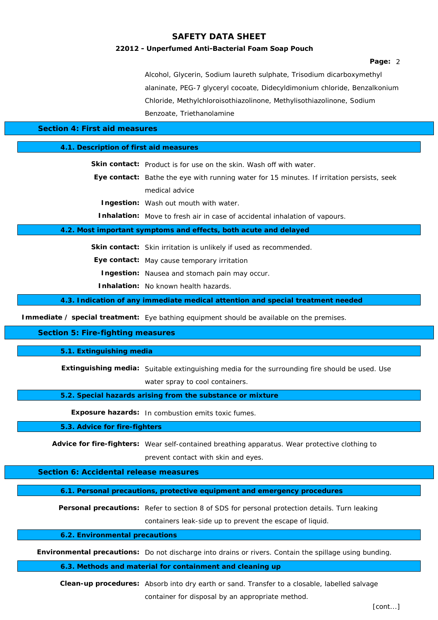#### **22012 - Unperfumed Anti-Bacterial Foam Soap Pouch**

#### **Page:** 2

Alcohol, Glycerin, Sodium laureth sulphate, Trisodium dicarboxymethyl alaninate, PEG-7 glyceryl cocoate, Didecyldimonium chloride, Benzalkonium Chloride, Methylchloroisothiazolinone, Methylisothiazolinone, Sodium Benzoate, Triethanolamine

## **Section 4: First aid measures**

**4.1. Description of first aid measures Skin contact:** Product is for use on the skin. Wash off with water. **Eye contact:** Bathe the eye with running water for 15 minutes. If irritation persists, seek medical advice **Ingestion:** Wash out mouth with water. **Inhalation:** Move to fresh air in case of accidental inhalation of vapours. **4.2. Most important symptoms and effects, both acute and delayed Skin contact:** Skin irritation is unlikely if used as recommended. **Eye contact:** May cause temporary irritation **Ingestion:** Nausea and stomach pain may occur. **Inhalation:** No known health hazards. **4.3. Indication of any immediate medical attention and special treatment needed Immediate / special treatment:** Eye bathing equipment should be available on the premises.

**Section 5: Fire-fighting measures**

**5.1. Extinguishing media**

**Extinguishing media:** Suitable extinguishing media for the surrounding fire should be used. Use water spray to cool containers.

**5.2. Special hazards arising from the substance or mixture**

**Exposure hazards:** In combustion emits toxic fumes.

**5.3. Advice for fire-fighters**

**Advice for fire-fighters:** Wear self-contained breathing apparatus. Wear protective clothing to

prevent contact with skin and eyes.

**Section 6: Accidental release measures**

**6.1. Personal precautions, protective equipment and emergency procedures**

**Personal precautions:** Refer to section 8 of SDS for personal protection details. Turn leaking

containers leak-side up to prevent the escape of liquid.

**6.2. Environmental precautions**

**Environmental precautions:** Do not discharge into drains or rivers. Contain the spillage using bunding.

**6.3. Methods and material for containment and cleaning up**

**Clean-up procedures:** Absorb into dry earth or sand. Transfer to a closable, labelled salvage container for disposal by an appropriate method.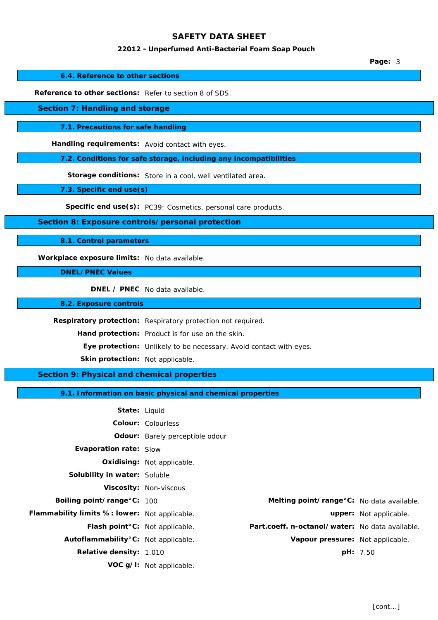#### **22012 - Unperfumed Anti-Bacterial Foam Soap Pouch**

**Page:** 3

**6.4. Reference to other sections**

**Reference to other sections:** Refer to section 8 of SDS.

**Section 7: Handling and storage**

**7.1. Precautions for safe handling**

**Handling requirements:** Avoid contact with eyes.

**7.2. Conditions for safe storage, including any incompatibilities**

**Storage conditions:** Store in a cool, well ventilated area.

**7.3. Specific end use(s)**

**Specific end use(s):** PC39: Cosmetics, personal care products.

**Section 8: Exposure controls/personal protection**

**8.1. Control parameters**

**Workplace exposure limits:** No data available.

**DNEL/PNEC Values**

**DNEL / PNEC** No data available.

**8.2. Exposure controls**

**Respiratory protection:** Respiratory protection not required.

**Hand protection:** Product is for use on the skin.

**Eye protection:** Unlikely to be necessary. Avoid contact with eyes.

**Skin protection:** Not applicable.

**Section 9: Physical and chemical properties**

**9.1. Information on basic physical and chemical properties**

| State: Liquid                                 |                                 |                                                 |                        |
|-----------------------------------------------|---------------------------------|-------------------------------------------------|------------------------|
|                                               | Colour: Colourless              |                                                 |                        |
|                                               | Odour: Barely perceptible odour |                                                 |                        |
| <b>Evaporation rate: Slow</b>                 |                                 |                                                 |                        |
|                                               | Oxidising: Not applicable.      |                                                 |                        |
| Solubility in water: Soluble                  |                                 |                                                 |                        |
|                                               | Viscosity: Non-viscous          |                                                 |                        |
| Boiling point/range°C: 100                    |                                 | Melting point/range°C: No data available.       |                        |
| Flammability limits %: lower: Not applicable. |                                 |                                                 | upper: Not applicable. |
| Flash point°C: Not applicable.                |                                 | Part.coeff. n-octanol/water: No data available. |                        |
| Autoflammability°C: Not applicable.           |                                 | Vapour pressure: Not applicable.                |                        |
| Relative density: 1.010                       |                                 |                                                 | pH: 7.50               |
|                                               | VOC g/I: Not applicable.        |                                                 |                        |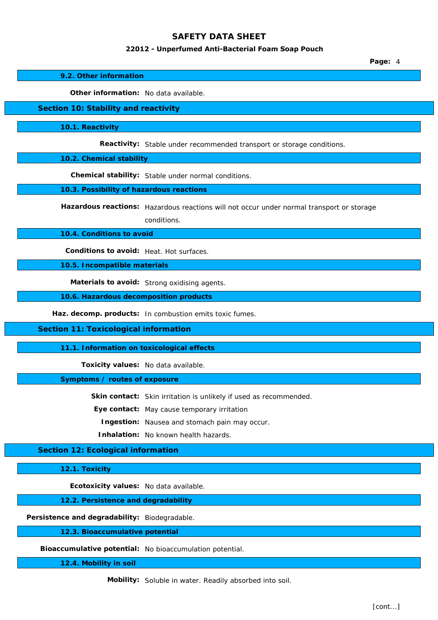## **22012 - Unperfumed Anti-Bacterial Foam Soap Pouch**

**Page:** 4

#### **9.2. Other information**

**Other information:** No data available.

# **Section 10: Stability and reactivity**

**10.1. Reactivity**

**Reactivity:** Stable under recommended transport or storage conditions.

**10.2. Chemical stability**

**Chemical stability:** Stable under normal conditions.

**10.3. Possibility of hazardous reactions**

**Hazardous reactions:** Hazardous reactions will not occur under normal transport or storage

conditions.

**10.4. Conditions to avoid**

**Conditions to avoid:** Heat. Hot surfaces.

**10.5. Incompatible materials**

**Materials to avoid:** Strong oxidising agents.

**10.6. Hazardous decomposition products**

**Haz. decomp. products:** In combustion emits toxic fumes.

**Section 11: Toxicological information**

**11.1. Information on toxicological effects**

**Toxicity values:** No data available.

#### **Symptoms / routes of exposure**

**Skin contact:** Skin irritation is unlikely if used as recommended.

**Eye contact:** May cause temporary irritation

**Ingestion:** Nausea and stomach pain may occur.

**Inhalation:** No known health hazards.

# **Section 12: Ecological information**

**12.1. Toxicity**

**Ecotoxicity values:** No data available.

**12.2. Persistence and degradability**

**Persistence and degradability:** Biodegradable.

**12.3. Bioaccumulative potential**

**Bioaccumulative potential:** No bioaccumulation potential.

**12.4. Mobility in soil**

**Mobility:** Soluble in water. Readily absorbed into soil.